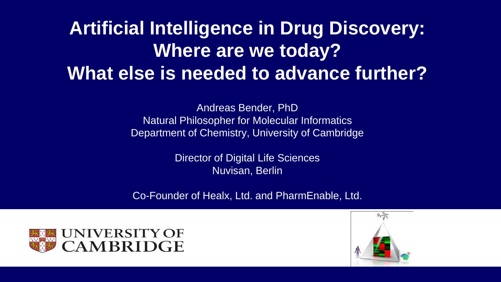## **Artificial Intelligence in Drug Discovery: Where are we today? What else is needed to advance further?**

Andreas Bender, PhD Natural Philosopher for Molecular Informatics Department of Chemistry, University of Cambridge

> Director of Digital Life Sciences Nuvisan, Berlin

Co-Founder of Healx, Ltd. and PharmEnable, Ltd.



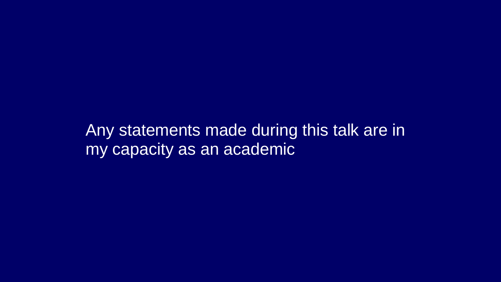Any statements made during this talk are in my capacity as an academic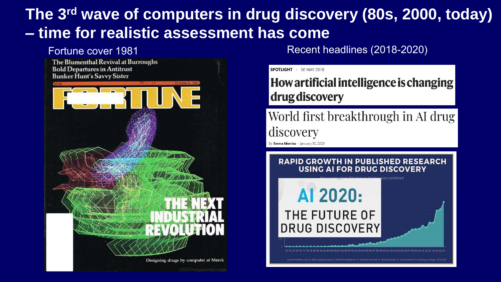#### **The 3rd wave of computers in drug discovery (80s, 2000, today) – time for realistic assessment has come**



Fortune cover 1981 **Fortune cover 1981** All research meadlines (2018-2020)

SPOTLIGHT · 30 MAY 2018

#### How artificial intelligence is changing drug discovery

World first breakthrough in AI drug discovery

By Emma Morriss - January 30, 2020

#### **RAPID GROWTH IN PUBLISHED RESEARCH USING AI FOR DRUG DISCOVERY**

AI 2020:

THE FUTURE OF

**DRUG DISCOVERY**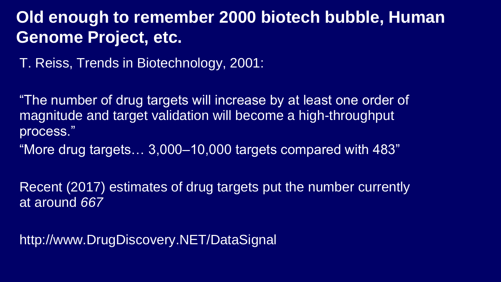#### **Old enough to remember 2000 biotech bubble, Human Genome Project, etc.**

T. Reiss, Trends in Biotechnology, 2001:

"The number of drug targets will increase by at least one order of magnitude and target validation will become a high-throughput process."

"More drug targets… 3,000–10,000 targets compared with 483"

Recent (2017) estimates of drug targets put the number currently at around *667*

http://www.DrugDiscovery.NET/DataSignal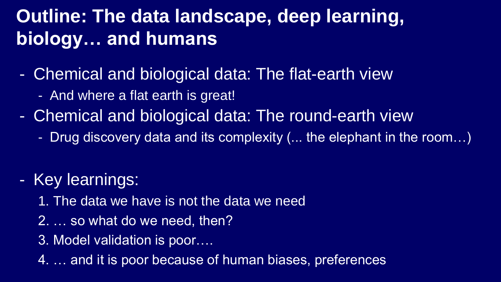## **Outline: The data landscape, deep learning, biology… and humans**

- Chemical and biological data: The flat-earth view
	- And where a flat earth is great!
- Chemical and biological data: The round-earth view
	- Drug discovery data and its complexity (... the elephant in the room…)
- Key learnings:
	- 1. The data we have is not the data we need
	- 2. … so what do we need, then?
	- 3. Model validation is poor….
	- 4. … and it is poor because of human biases, preferences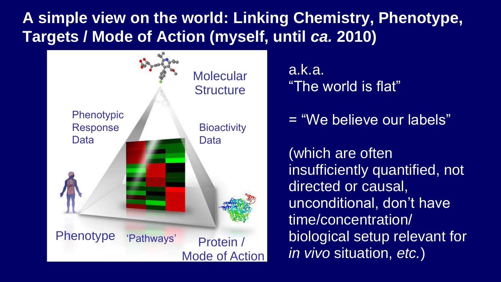#### **A simple view on the world: Linking Chemistry, Phenotype, Targets / Mode of Action (myself, until** *ca.* **2010)**



a.k.a. "The world is flat"

= "We believe our labels"

(which are often insufficiently quantified, not directed or causal, unconditional, don't have time/concentration/ biological setup relevant for *in vivo* situation, *etc.*)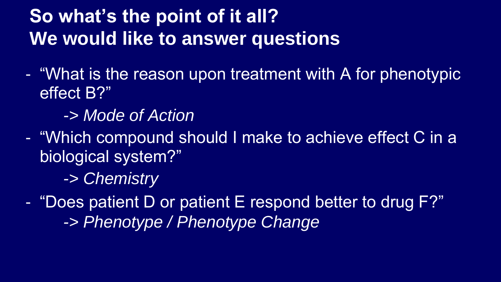## **So what's the point of it all? We would like to answer questions**

- "What is the reason upon treatment with A for phenotypic effect B?"
	- *-> Mode of Action*
- "Which compound should I make to achieve effect C in a biological system?"
	- *-> Chemistry*
- "Does patient D or patient E respond better to drug F?" *-> Phenotype / Phenotype Change*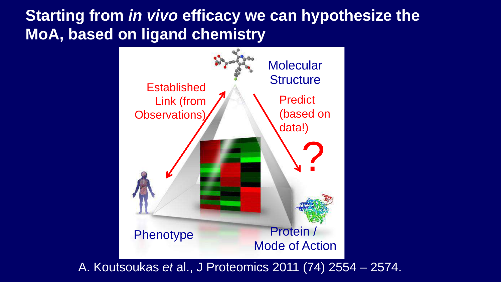#### **Starting from** *in vivo* **efficacy we can hypothesize the MoA, based on ligand chemistry**



A. Koutsoukas *et* al., J Proteomics 2011 (74) 2554 – 2574.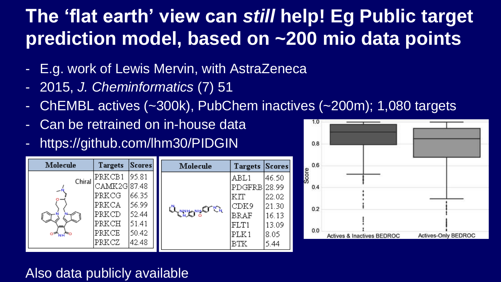## **The 'flat earth' view can** *still* **help! Eg Public target prediction model, based on ~200 mio data points**

- E.g. work of Lewis Mervin, with AstraZeneca
- 2015, *J. Cheminformatics* (7) 51
- ChEMBL actives (~300k), PubChem inactives (~200m); 1,080 targets
- Can be retrained on in-house data
- https://github.com/lhm30/PIDGIN

| Molecule     | Targets                                           | Scores <sup> </sup>               |  | Molecule                    | <b>Targets</b>                              | <b>Scores</b>                    |
|--------------|---------------------------------------------------|-----------------------------------|--|-----------------------------|---------------------------------------------|----------------------------------|
| Chiral<br>ᅩ  | PRKCB1<br>CAMK2G 87.48<br>PRKCG<br>PRKCA<br>PRKCD | 195.81<br>66.35<br>56.99<br>52.44 |  | Q <sub>o</sub> nyyyyytti Or | ABL1<br>PDGFRB 28.99<br>KIT<br>CDK9<br>BRAF | 46.50<br>22.02<br>21.30<br>16.13 |
| $0 -_{NH} 0$ | PRKCH<br>PRKCE<br>PRKCZ                           | 51.41<br>50.42<br>42.48           |  |                             | FLT1<br>PLK1<br>BTK                         | 13.09<br>8.05<br>5.44            |



#### Also data publicly available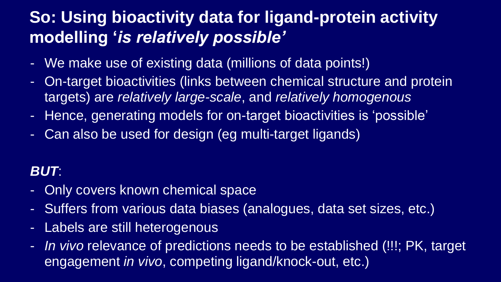#### **So: Using bioactivity data for ligand-protein activity modelling '***is relatively possible'*

- We make use of existing data (millions of data points!)
- On-target bioactivities (links between chemical structure and protein targets) are *relatively large-scale*, and *relatively homogenous*
- Hence, generating models for on-target bioactivities is 'possible'
- Can also be used for design (eg multi-target ligands)

#### *BUT*:

- Only covers known chemical space
- Suffers from various data biases (analogues, data set sizes, etc.)
- Labels are still heterogenous
- *In vivo* relevance of predictions needs to be established (!!!; PK, target engagement *in vivo*, competing ligand/knock-out, etc.)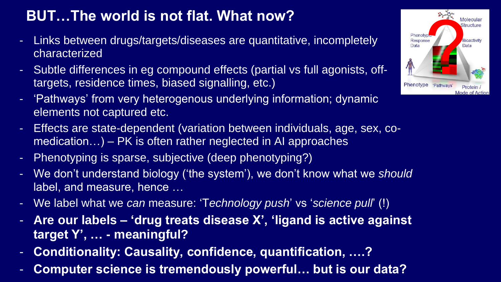#### **BUT…The world is not flat. What now?**

- Links between drugs/targets/diseases are quantitative, incompletely characterized
- Subtle differences in eg compound effects (partial vs full agonists, offtargets, residence times, biased signalling, etc.)
- 'Pathways' from very heterogenous underlying information; dynamic elements not captured etc.
- Effects are state-dependent (variation between individuals, age, sex, comedication…) – PK is often rather neglected in AI approaches
- Phenotyping is sparse, subjective (deep phenotyping?)
- We don't understand biology ('the system'), we don't know what we *should*  label, and measure, hence …
- We label what we *can* measure: 'T*echnology push*' vs '*science pull*' (!)
- **Are our labels – 'drug treats disease X', 'ligand is active against target Y', … - meaningful?**
- **Conditionality: Causality, confidence, quantification, ….?**
- **Computer science is tremendously powerful… but is our data?**

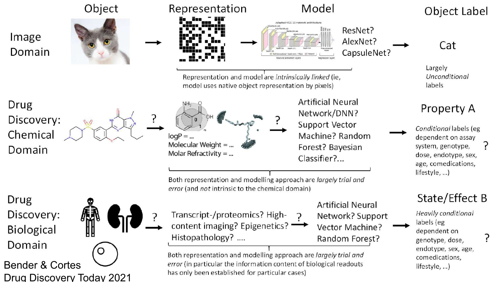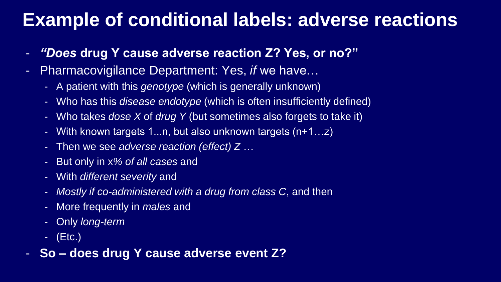#### **Example of conditional labels: adverse reactions**

- *"Does* **drug Y cause adverse reaction Z? Yes, or no?"**
- Pharmacovigilance Department: Yes, *if* we have…
	- A patient with this *genotype* (which is generally unknown)
	- Who has this *disease endotype* (which is often insufficiently defined)
	- Who takes *dose X* of *drug Y* (but sometimes also forgets to take it)
	- With known targets 1...n, but also unknown targets (n+1…z)
	- Then we see *adverse reaction (effect) Z* …
	- But only in x*% of all cases* and
	- With *different severity* and
	- *Mostly if co-administered with a drug from class C*, and then
	- More frequently in *males* and
	- Only *long-term*
	- (Etc.)
- **So – does drug Y cause adverse event Z?**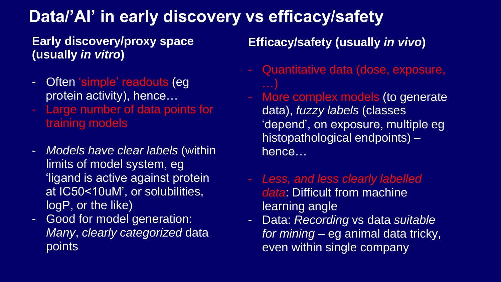#### **Data/'AI' in early discovery vs efficacy/safety**

#### **Early discovery/proxy space (usually** *in vitro***)**

- Often 'simple' readouts (eg protein activity), hence…
- Large number of data points for training models
- *Models have clear labels* (within limits of model system, eg 'ligand is active against protein at IC50<10uM', or solubilities, logP, or the like)
- Good for model generation: *Many*, *clearly categorized* data points

**Efficacy/safety (usually** *in vivo***)**

- Quantitative data (dose, exposure,
- More complex models (to generate data), *fuzzy labels* (classes 'depend', on exposure, multiple eg histopathological endpoints) – hence…
- *Less, and less clearly labelled data*: Difficult from machine learning angle
- Data: *Recording* vs data *suitable for mining* – eg animal data tricky, even within single company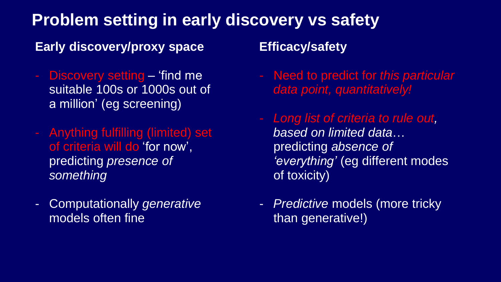#### **Problem setting in early discovery vs safety**

#### **Early discovery/proxy space**

- Discovery setting 'find me suitable 100s or 1000s out of a million' (eg screening)
- Anything fulfilling (limited) set of criteria will do 'for now', predicting *presence of something*
- Computationally *generative* models often fine

#### **Efficacy/safety**

- Need to predict for *this particular data point, quantitatively!*
- *Long list of criteria to rule out, based on limited data*… predicting *absence of 'everything'* (eg different modes of toxicity)
- *Predictive* models (more tricky than generative!)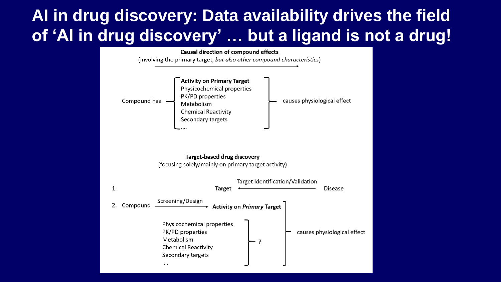#### **AI in drug discovery: Data availability drives the field of 'AI in drug discovery' … but a ligand is not a drug!**

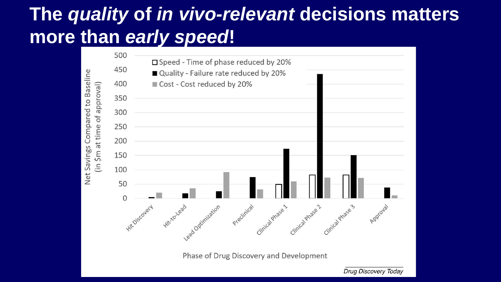## **The** *quality* **of** *in vivo-relevant* **decisions matters more than** *early speed***!**



Drug Discovery Today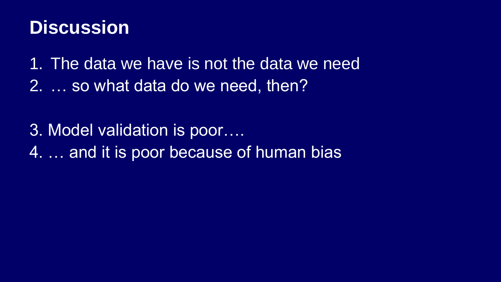## **Discussion**

1. The data we have is not the data we need

2. … so what data do we need, then?

3. Model validation is poor….

4. … and it is poor because of human bias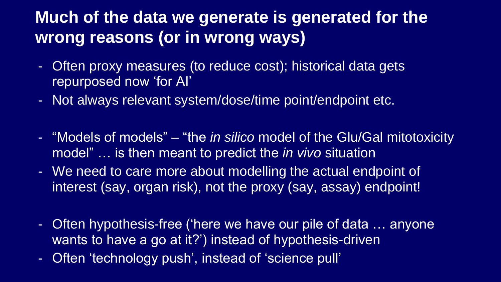#### **Much of the data we generate is generated for the wrong reasons (or in wrong ways)**

- Often proxy measures (to reduce cost); historical data gets repurposed now 'for AI'
- Not always relevant system/dose/time point/endpoint etc.
- "Models of models" "the *in silico* model of the Glu/Gal mitotoxicity model" … is then meant to predict the *in vivo* situation
- We need to care more about modelling the actual endpoint of interest (say, organ risk), not the proxy (say, assay) endpoint!
- Often hypothesis-free ('here we have our pile of data … anyone wants to have a go at it?') instead of hypothesis-driven
- Often 'technology push', instead of 'science pull'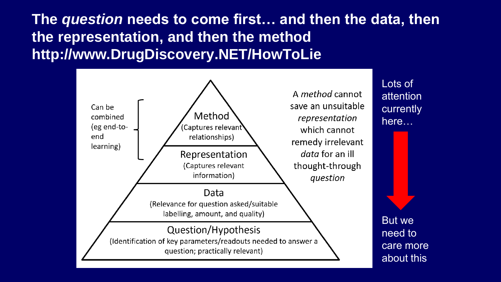**The** *question* **needs to come first… and then the data, then the representation, and then the method http://www.DrugDiscovery.NET/HowToLie** 



Lots of attention currently here…

But we need to care more about this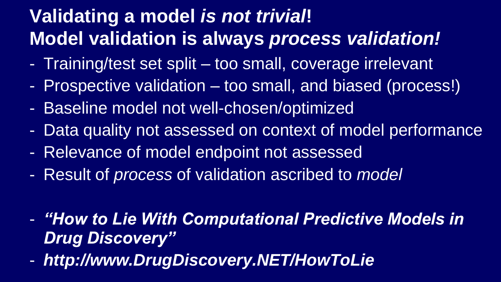## **Validating a model** *is not trivial***! Model validation is always** *process validation!*

- Training/test set split too small, coverage irrelevant
- Prospective validation too small, and biased (process!)
- Baseline model not well-chosen/optimized
- Data quality not assessed on context of model performance
- Relevance of model endpoint not assessed
- Result of *process* of validation ascribed to *model*
- *"How to Lie With Computational Predictive Models in Drug Discovery"*
- *http://www.DrugDiscovery.NET/HowToLie*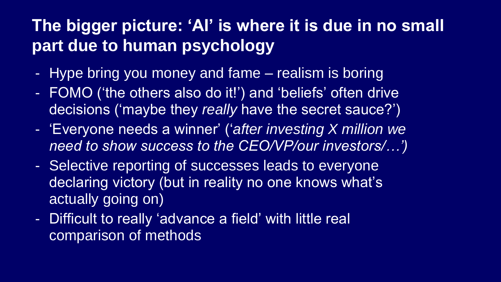#### **The bigger picture: 'AI' is where it is due in no small part due to human psychology**

- Hype bring you money and fame realism is boring
- FOMO ('the others also do it!') and 'beliefs' often drive decisions ('maybe they *really* have the secret sauce?')
- 'Everyone needs a winner' ('*after investing X million we need to show success to the CEO/VP/our investors/…')*
- Selective reporting of successes leads to everyone declaring victory (but in reality no one knows what's actually going on)
- Difficult to really 'advance a field' with little real comparison of methods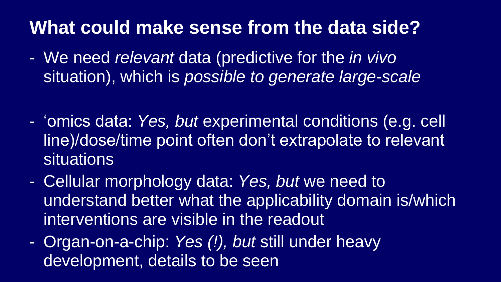## **What could make sense from the data side?**

- We need *relevant* data (predictive for the *in vivo*  situation), which is *possible to generate large-scale*
- 'omics data: *Yes, but* experimental conditions (e.g. cell line)/dose/time point often don't extrapolate to relevant situations
- Cellular morphology data: *Yes, but* we need to understand better what the applicability domain is/which interventions are visible in the readout
- Organ-on-a-chip: *Yes (!), but* still under heavy development, details to be seen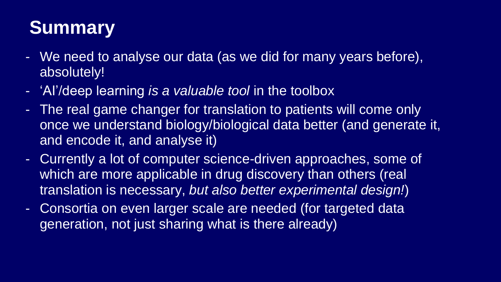# **Summary**

- We need to analyse our data (as we did for many years before), absolutely!
- 'AI'/deep learning *is a valuable tool* in the toolbox
- The real game changer for translation to patients will come only once we understand biology/biological data better (and generate it, and encode it, and analyse it)
- Currently a lot of computer science-driven approaches, some of which are more applicable in drug discovery than others (real translation is necessary, *but also better experimental design!*)
- Consortia on even larger scale are needed (for targeted data generation, not just sharing what is there already)